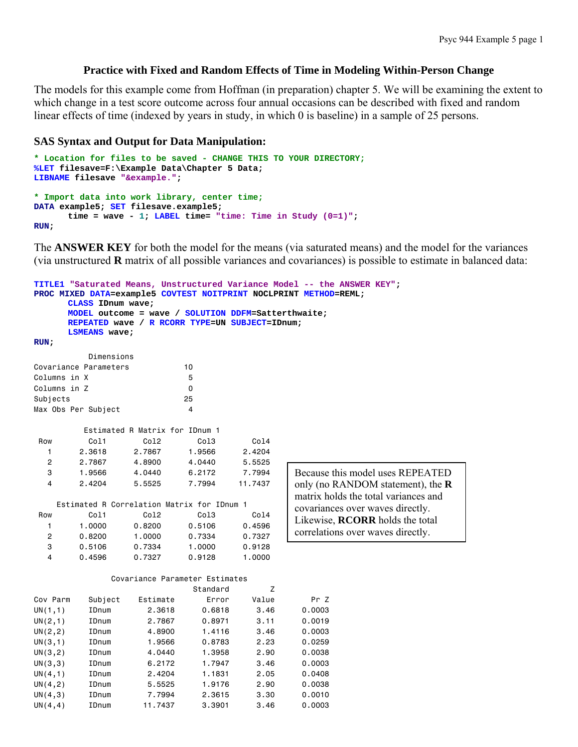## **Practice with Fixed and Random Effects of Time in Modeling Within-Person Change**

The models for this example come from Hoffman (in preparation) chapter 5. We will be examining the extent to which change in a test score outcome across four annual occasions can be described with fixed and random linear effects of time (indexed by years in study, in which 0 is baseline) in a sample of 25 persons.

### **SAS Syntax and Output for Data Manipulation:**

```
* Location for files to be saved - CHANGE THIS TO YOUR DIRECTORY;
%LET filesave=F:\Example Data\Chapter 5 Data; 
LIBNAME filesave "&example."; 
* Import data into work library, center time;
DATA example5; SET filesave.example5; 
        time = wave - 1; LABEL time= "time: Time in Study (0=1)"; 
RUN;
```
The **ANSWER KEY** for both the model for the means (via saturated means) and the model for the variances (via unstructured **R** matrix of all possible variances and covariances) is possible to estimate in balanced data:

```
TITLE1 "Saturated Means, Unstructured Variance Model -- the ANSWER KEY"; 
PROC MIXED DATA=example5 COVTEST NOITPRINT NOCLPRINT METHOD=REML; 
     CLASS IDnum wave; 
     MODEL outcome = wave / SOLUTION DDFM=Satterthwaite; 
     REPEATED wave / R RCORR TYPE=UN SUBJECT=IDnum; 
     LSMEANS wave; 
RUN; 
         Dimensions 
Covariance Parameters 10 
Columns in X 5
Columns in Z 0
Subjects 25
Max Obs Per Subject 4
        Estimated R Matrix for IDnum 1 
 Row Col1 Col2 Col3 Col4 
 1 2.3618 2.7867 1.9566 2.4204 
   2 2.7867 4.8900 4.0440 5.5525 
 3 1.9566 4.0440 6.2172 7.7994 
   4 2.4204 5.5525 7.7994 11.7437 
    Estimated R Correlation Matrix for IDnum 1 
 Row Col1 Col2 Col3 Col4 
   1 1.0000 0.8200 0.5106 0.4596 
   2 0.8200 1.0000 0.7334 0.7327 
 3 0.5106 0.7334 1.0000 0.9128 
 4 0.4596 0.7327 0.9128 1.0000 
             Covariance Parameter Estimates 
                        Standard Z
Cov Parm Subject Estimate Error Value Pr Z 
UN(1,1) IDnum 2.3618 0.6818 3.46 0.0003 
UN(2,1) IDnum 2.7867 0.8971 3.11 0.0019 
UN(2,2) IDnum 4.8900 1.4116 3.46 0.0003 
UN(3,1) IDnum 1.9566 0.8783 2.23 0.0259 
UN(3,2) IDnum 4.0440 1.3958 2.90 0.0038 
UN(3,3) IDnum 6.2172 1.7947 3.46 0.0003 
UN(4,1) IDnum 2.4204 1.1831 2.05 0.0408 
UN(4,2) IDnum 5.5525 1.9176 2.90 0.0038 
UN(4,3) IDnum 7.7994 2.3615 3.30 0.0010 
UN(4,4) IDnum 11.7437 3.3901 3.46 0.0003 
                                         Because this model uses REPEATED 
                                         only (no RANDOM statement), the R
                                         matrix holds the total variances and 
                                         covariances over waves directly. 
                                         Likewise, RCORR holds the total 
                                         correlations over waves directly.
```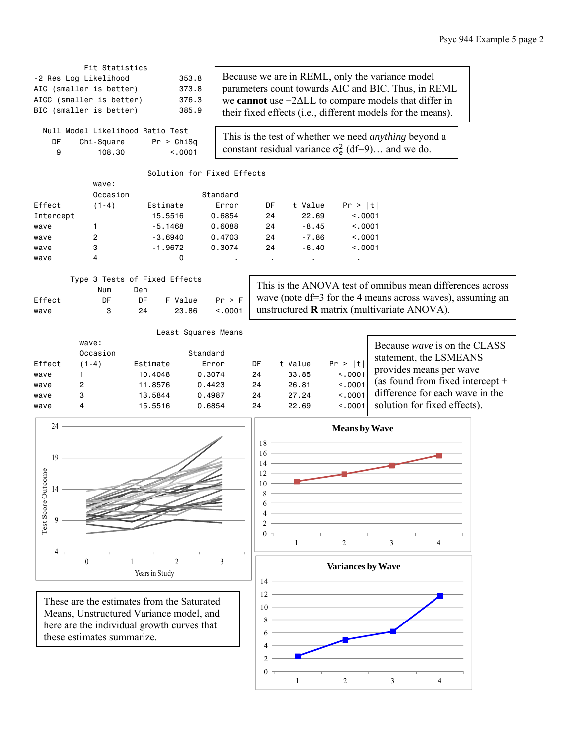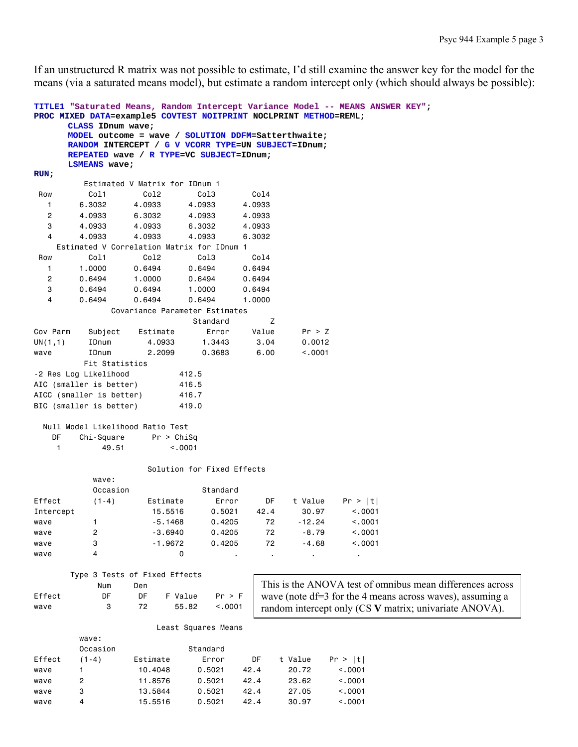If an unstructured R matrix was not possible to estimate, I'd still examine the answer key for the model for the means (via a saturated means model), but estimate a random intercept only (which should always be possible):

|                | CLASS IDnum wave;        | TITLE1 "Saturated Means, Random Intercept Variance Model -- MEANS ANSWER KEY";<br>PROC MIXED DATA=example5 COVTEST NOITPRINT NOCLPRINT METHOD=REML;    |                            |        |          |         |                                                           |  |
|----------------|--------------------------|--------------------------------------------------------------------------------------------------------------------------------------------------------|----------------------------|--------|----------|---------|-----------------------------------------------------------|--|
|                |                          | MODEL outcome = wave / SOLUTION DDFM=Satterthwaite;<br>RANDOM INTERCEPT / G V VCORR TYPE=UN SUBJECT=IDnum;<br>REPEATED wave / R TYPE=VC SUBJECT=IDnum; |                            |        |          |         |                                                           |  |
| RUN;           | LSMEANS wave;            |                                                                                                                                                        |                            |        |          |         |                                                           |  |
|                |                          | Estimated V Matrix for IDnum 1                                                                                                                         |                            |        |          |         |                                                           |  |
| Row            | Col1                     | Co12                                                                                                                                                   | Co13                       | Col4   |          |         |                                                           |  |
| 1              | 6.3032                   | 4.0933                                                                                                                                                 | 4.0933                     | 4.0933 |          |         |                                                           |  |
| 2              | 4.0933                   | 6.3032                                                                                                                                                 | 4.0933                     | 4.0933 |          |         |                                                           |  |
| 3              | 4.0933                   | 4.0933                                                                                                                                                 | 6.3032                     | 4.0933 |          |         |                                                           |  |
| 4              | 4.0933                   | 4.0933                                                                                                                                                 | 4.0933                     | 6.3032 |          |         |                                                           |  |
|                |                          | Estimated V Correlation Matrix for IDnum 1                                                                                                             |                            |        |          |         |                                                           |  |
| Row            | Col1                     | Col2                                                                                                                                                   | Col3                       | Col4   |          |         |                                                           |  |
| $\mathbf{1}$   | 1.0000                   | 0.6494                                                                                                                                                 | 0.6494                     | 0.6494 |          |         |                                                           |  |
| $\overline{c}$ | 0.6494                   | 1.0000                                                                                                                                                 | 0.6494                     | 0.6494 |          |         |                                                           |  |
| 3              | 0.6494                   | 0.6494                                                                                                                                                 | 1.0000                     | 0.6494 |          |         |                                                           |  |
| 4              | 0.6494                   | 0.6494                                                                                                                                                 | 0.6494                     | 1.0000 |          |         |                                                           |  |
|                |                          | Covariance Parameter Estimates                                                                                                                         |                            |        |          |         |                                                           |  |
|                |                          |                                                                                                                                                        | Standard                   | Ζ      |          |         |                                                           |  |
| Cov Parm       | Subject                  | Estimate                                                                                                                                               | Error                      | Value  | Pr > Z   |         |                                                           |  |
| UN(1,1)        | IDnum                    | 4.0933                                                                                                                                                 | 1.3443                     | 3.04   | 0.0012   |         |                                                           |  |
| wave           | IDnum                    | 2.2099                                                                                                                                                 | 0.3683                     | 6.00   | < .0001  |         |                                                           |  |
|                | Fit Statistics           |                                                                                                                                                        |                            |        |          |         |                                                           |  |
|                | -2 Res Log Likelihood    |                                                                                                                                                        | 412.5                      |        |          |         |                                                           |  |
|                | AIC (smaller is better)  |                                                                                                                                                        | 416.5                      |        |          |         |                                                           |  |
|                | AICC (smaller is better) |                                                                                                                                                        | 416.7                      |        |          |         |                                                           |  |
|                | BIC (smaller is better)  |                                                                                                                                                        | 419.0                      |        |          |         |                                                           |  |
| DF             | Chi-Square               | Null Model Likelihood Ratio Test<br>Pr > Chisq                                                                                                         |                            |        |          |         |                                                           |  |
| $\mathbf{1}$   | 49.51                    | < .0001                                                                                                                                                |                            |        |          |         |                                                           |  |
|                | wave:                    |                                                                                                                                                        | Solution for Fixed Effects |        |          |         |                                                           |  |
|                | Occasion                 |                                                                                                                                                        | Standard                   |        |          |         |                                                           |  |
| Effect         | $(1-4)$                  | Estimate                                                                                                                                               | Error                      | DF     | t Value  | Pr >  t |                                                           |  |
| Intercept      |                          | 15,5516                                                                                                                                                | 0.5021                     | 42.4   | 30.97    | < .0001 |                                                           |  |
| wave           |                          | $-5.1468$                                                                                                                                              | 0.4205                     | 72     | $-12.24$ | < .0001 |                                                           |  |
| wave           | 2                        | $-3.6940$                                                                                                                                              | 0.4205                     | 72     | $-8.79$  | < .0001 |                                                           |  |
| wave           | 3                        | $-1.9672$                                                                                                                                              | 0.4205                     | 72     | $-4.68$  | < .0001 |                                                           |  |
| wave           | 4                        | 0                                                                                                                                                      |                            |        |          | ٠       |                                                           |  |
|                |                          | Type 3 Tests of Fixed Effects                                                                                                                          |                            |        |          |         |                                                           |  |
|                | Num                      | Den                                                                                                                                                    |                            |        |          |         | This is the ANOVA test of omnibus mean differences across |  |
| Effect         | DF                       | DF<br>F Value                                                                                                                                          | $Pr$ > $F$                 |        |          |         | wave (note df=3 for the 4 means across waves), assuming a |  |
| wave           | 3                        | 72<br>55.82                                                                                                                                            | < .0001                    |        |          |         | random intercept only (CS V matrix; univariate ANOVA).    |  |
|                |                          |                                                                                                                                                        | Least Squares Means        |        |          |         |                                                           |  |
|                | wave:                    |                                                                                                                                                        |                            |        |          |         |                                                           |  |
|                | Occasion                 |                                                                                                                                                        | Standard                   |        |          |         |                                                           |  |
| Effect         | $(1-4)$                  | Estimate                                                                                                                                               | Error                      | DF     | t Value  | Pr >  t |                                                           |  |
| wave           | 1.                       | 10.4048                                                                                                                                                | 0.5021                     | 42.4   | 20.72    | < .0001 |                                                           |  |
| wave           | 2                        | 11.8576                                                                                                                                                | 0.5021                     | 42.4   | 23.62    | < .0001 |                                                           |  |
| wave           | 3                        | 13.5844                                                                                                                                                | 0.5021                     | 42.4   | 27.05    | < .0001 |                                                           |  |
| wave           | 4                        | 15.5516                                                                                                                                                | 0.5021                     | 42.4   | 30.97    | < .0001 |                                                           |  |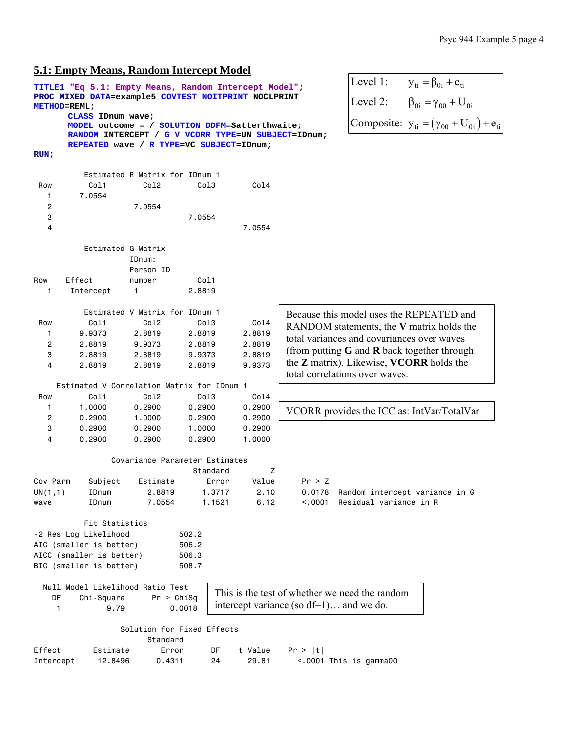# **5.1: Empty Means, Random Intercept Model**

|                     |                          | <u>э.т. етриу ivieans, каполн пиетсери widdel</u>                                                     |                                            |         |         |                                                        |
|---------------------|--------------------------|-------------------------------------------------------------------------------------------------------|--------------------------------------------|---------|---------|--------------------------------------------------------|
|                     |                          | TITLE1 "Eq 5.1: Empty Means, Random Intercept Model";                                                 | Level 1:<br>$y_{ti} = \beta_{0i} + e_{ti}$ |         |         |                                                        |
| <b>METHOD=REML;</b> |                          | PROC MIXED DATA=example5 COVTEST NOITPRINT NOCLPRINT                                                  |                                            |         |         | Level 2:<br>$\beta_{0i} = \gamma_{00} + U_{0i}$        |
|                     | CLASS IDnum wave;        |                                                                                                       |                                            |         |         | Composite: $y_{ti} = (\gamma_{00} + U_{0i}) + e_{ti}$  |
|                     |                          | MODEL outcome = / SOLUTION DDFM=Satterthwaite:<br>RANDOM INTERCEPT / G V VCORR TYPE=UN SUBJECT=IDnum; |                                            |         |         |                                                        |
|                     |                          | REPEATED wave / R TYPE=VC SUBJECT=IDnum;                                                              |                                            |         |         |                                                        |
| $RUN$ ;             |                          |                                                                                                       |                                            |         |         |                                                        |
|                     |                          |                                                                                                       |                                            |         |         |                                                        |
|                     |                          | Estimated R Matrix for IDnum 1                                                                        |                                            |         |         |                                                        |
| Row                 | Col1                     | Col <sub>2</sub>                                                                                      | Col3                                       | Col4    |         |                                                        |
| 1<br>2              | 7.0554                   | 7.0554                                                                                                |                                            |         |         |                                                        |
| 3                   |                          |                                                                                                       | 7.0554                                     |         |         |                                                        |
| 4                   |                          |                                                                                                       |                                            | 7.0554  |         |                                                        |
|                     |                          |                                                                                                       |                                            |         |         |                                                        |
|                     |                          | Estimated G Matrix                                                                                    |                                            |         |         |                                                        |
|                     |                          | IDnum:                                                                                                |                                            |         |         |                                                        |
| Row                 | Effect                   | Person ID<br>number                                                                                   | Col1                                       |         |         |                                                        |
| $\mathbf{1}$        | Intercept                | $\mathbf{1}$                                                                                          | 2.8819                                     |         |         |                                                        |
|                     |                          |                                                                                                       |                                            |         |         |                                                        |
|                     |                          | Estimated V Matrix for IDnum 1                                                                        |                                            |         |         | Because this model uses the REPEATED and               |
| Row                 | Col1                     | Col <sub>2</sub>                                                                                      | Col3                                       | Col4    |         | RANDOM statements, the V matrix holds the              |
| 1                   | 9.9373                   | 2.8819                                                                                                | 2.8819                                     | 2.8819  |         | total variances and covariances over waves             |
| 2                   | 2.8819                   | 9.9373                                                                                                | 2.8819                                     | 2.8819  |         | (from putting $G$ and $R$ back together through        |
| 3                   | 2.8819                   | 2.8819                                                                                                | 9.9373                                     | 2.8819  |         | the <b>Z</b> matrix). Likewise, <b>VCORR</b> holds the |
| $\overline{4}$      | 2.8819                   | 2.8819                                                                                                | 2.8819                                     | 9.9373  |         | total correlations over waves.                         |
|                     |                          | Estimated V Correlation Matrix for IDnum 1                                                            |                                            |         |         |                                                        |
| Row                 | Col1                     | Col2                                                                                                  | Col3                                       | Co14    |         |                                                        |
| 1                   | 1.0000                   | 0.2900                                                                                                | 0.2900                                     | 0.2900  |         | VCORR provides the ICC as: IntVar/TotalVar             |
| 2                   | 0.2900                   | 1.0000                                                                                                | 0.2900                                     | 0.2900  |         |                                                        |
| 3                   | 0.2900                   | 0.2900                                                                                                | 1.0000                                     | 0.2900  |         |                                                        |
| 4                   | 0.2900                   | 0.2900                                                                                                | 0.2900                                     | 1.0000  |         |                                                        |
|                     |                          | Covariance Parameter Estimates                                                                        |                                            |         |         |                                                        |
|                     |                          |                                                                                                       | Standard                                   | Z       |         |                                                        |
| Cov Parm            | Subject                  | Estimate                                                                                              | Error                                      | Value   | Pr > Z  |                                                        |
| UN(1,1)             | IDnum                    | 2.8819                                                                                                | 1.3717                                     | 2.10    |         | 0.0178 Random intercept variance in G                  |
| wave                | IDnum                    | 7.0554                                                                                                | 1.1521                                     | 6.12    | < .0001 | Residual variance in R                                 |
|                     | Fit Statistics           |                                                                                                       |                                            |         |         |                                                        |
|                     | -2 Res Log Likelihood    |                                                                                                       | 502.2                                      |         |         |                                                        |
|                     | AIC (smaller is better)  |                                                                                                       | 506.2                                      |         |         |                                                        |
|                     | AICC (smaller is better) |                                                                                                       | 506.3                                      |         |         |                                                        |
|                     | BIC (smaller is better)  |                                                                                                       | 508.7                                      |         |         |                                                        |
|                     |                          | Null Model Likelihood Ratio Test                                                                      |                                            |         |         |                                                        |
| DF                  | Chi-Square               | Pr > Chisq                                                                                            |                                            |         |         | This is the test of whether we need the random         |
| 1                   | 9.79                     |                                                                                                       | 0.0018                                     |         |         | intercept variance (so $df=1$ ) and we do.             |
|                     |                          | Solution for Fixed Effects                                                                            |                                            |         |         |                                                        |
|                     |                          | Standard                                                                                              |                                            |         |         |                                                        |
| Effect              | Estimate                 | Error                                                                                                 | DF                                         | t Value | Pr >  t |                                                        |
| Intercept           | 12.8496                  | 0.4311                                                                                                | 24                                         | 29.81   |         | <.0001 This is gamma00                                 |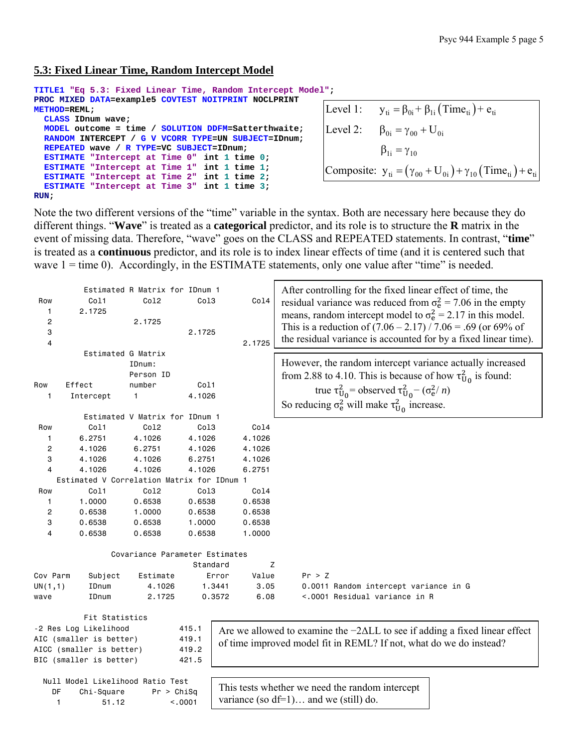## **5.3: Fixed Linear Time, Random Intercept Model**

```
TITLE1 "Eq 5.3: Fixed Linear Time, Random Intercept Model"; 
PROC MIXED DATA=example5 COVTEST NOITPRINT NOCLPRINT 
METHOD=REML; 
   CLASS IDnum wave; 
   MODEL outcome = time / SOLUTION DDFM=Satterthwaite; 
   RANDOM INTERCEPT / G V VCORR TYPE=UN SUBJECT=IDnum; 
   REPEATED wave / R TYPE=VC SUBJECT=IDnum; 
   ESTIMATE "Intercept at Time 0" int 1 time 0; 
   ESTIMATE "Intercept at Time 1" int 1 time 1; 
   ESTIMATE "Intercept at Time 2" int 1 time 2; 
   ESTIMATE "Intercept at Time 3" int 1 time 3; 
RUN; 
                                                                       Level 1: y_{ti} = \beta_{0i} + \beta_{1i} (\text{Time}_{ti}) + e_{ti}Composite: y_{ti} = (\gamma_{00} + U_{0i}) + \gamma_{10} (\text{Time}_{ti}) + e_{ti}Level 2: \beta_{0i} = \gamma_{00} + U_{0i}\beta_{1i} = \gamma_{10}
```
Note the two different versions of the "time" variable in the syntax. Both are necessary here because they do different things. "**Wave**" is treated as a **categorical** predictor, and its role is to structure the **R** matrix in the event of missing data. Therefore, "wave" goes on the CLASS and REPEATED statements. In contrast, "**time**" is treated as a **continuous** predictor, and its role is to index linear effects of time (and it is centered such that wave  $1 =$  time 0). Accordingly, in the ESTIMATE statements, only one value after "time" is needed.

|                                   |                                            | Estimated R Matrix for IDnum 1 |          |                                          | After controlling for the fixed linear effect of time, the                         |  |  |  |
|-----------------------------------|--------------------------------------------|--------------------------------|----------|------------------------------------------|------------------------------------------------------------------------------------|--|--|--|
| Row                               | Col1                                       | Co12                           | Col3     | Co14                                     | residual variance was reduced from $\sigma_e^2 = 7.06$ in the empty                |  |  |  |
| 1                                 | 2.1725                                     |                                |          |                                          | means, random intercept model to $\sigma_e^2 = 2.17$ in this model.                |  |  |  |
| 2                                 |                                            | 2.1725                         |          |                                          |                                                                                    |  |  |  |
| 3                                 |                                            |                                | 2.1725   |                                          | This is a reduction of $(7.06 - 2.17) / 7.06 = .69$ (or 69% of                     |  |  |  |
| 4                                 |                                            |                                |          | 2.1725                                   | the residual variance is accounted for by a fixed linear time).                    |  |  |  |
|                                   | Estimated G Matrix                         |                                |          |                                          |                                                                                    |  |  |  |
|                                   |                                            | IDnum:                         |          |                                          | However, the random intercept variance actually increased                          |  |  |  |
|                                   |                                            | Person ID                      |          |                                          | from 2.88 to 4.10. This is because of how $\tau_{U_0}^2$ is found:                 |  |  |  |
| Row                               | Effect                                     | number                         | Col1     |                                          |                                                                                    |  |  |  |
| 1                                 | Intercept                                  | 1                              | 4.1026   |                                          | true $\tau_{U_0}^2$ = observed $\tau_{U_0}^2$ – $(\sigma_e^2/n)$                   |  |  |  |
|                                   |                                            |                                |          |                                          | So reducing $\sigma_e^2$ will make $\tau_{U_0}^2$ increase.                        |  |  |  |
|                                   |                                            | Estimated V Matrix for IDnum 1 |          |                                          |                                                                                    |  |  |  |
| Row                               | Col1                                       | Co12                           | Co13     | Col4                                     |                                                                                    |  |  |  |
| 1                                 | 6.2751                                     | 4.1026                         | 4.1026   | 4.1026                                   |                                                                                    |  |  |  |
| 2                                 | 4.1026                                     | 6.2751                         | 4.1026   | 4.1026                                   |                                                                                    |  |  |  |
| 3                                 | 4.1026                                     | 4.1026                         | 6.2751   | 4.1026                                   |                                                                                    |  |  |  |
| 4                                 | 4.1026                                     | 4.1026                         | 4.1026   | 6.2751                                   |                                                                                    |  |  |  |
|                                   | Estimated V Correlation Matrix for IDnum 1 |                                |          |                                          |                                                                                    |  |  |  |
| Row                               | Col1                                       | Col2                           | Col3     | Col4                                     |                                                                                    |  |  |  |
| 1                                 | 1.0000                                     | 0.6538                         | 0.6538   | 0.6538                                   |                                                                                    |  |  |  |
| 2                                 | 0.6538                                     | 1.0000                         | 0.6538   | 0.6538                                   |                                                                                    |  |  |  |
| 3                                 | 0.6538                                     | 0.6538                         | 1.0000   | 0.6538                                   |                                                                                    |  |  |  |
| 4                                 | 0.6538                                     | 0.6538                         | 0.6538   | 1.0000                                   |                                                                                    |  |  |  |
|                                   |                                            | Covariance Parameter Estimates |          |                                          |                                                                                    |  |  |  |
|                                   |                                            |                                | Standard | z                                        |                                                                                    |  |  |  |
| Cov Parm                          | Subject                                    | Estimate                       | Error    | Value                                    | Pr > Z                                                                             |  |  |  |
| UN(1,1)                           | IDnum                                      | 4.1026                         | 1.3441   | 3.05                                     | 0.0011 Random intercept variance in G                                              |  |  |  |
| wave                              | IDnum                                      | 2.1725                         | 0.3572   | 6.08                                     | <.0001 Residual variance in R                                                      |  |  |  |
|                                   |                                            |                                |          |                                          |                                                                                    |  |  |  |
|                                   | Fit Statistics                             |                                |          |                                          |                                                                                    |  |  |  |
|                                   | -2 Res Log Likelihood                      |                                | 415.1    |                                          | Are we allowed to examine the $-2\Delta LL$ to see if adding a fixed linear effect |  |  |  |
|                                   | AIC (smaller is better)                    |                                | 419.1    |                                          | of time improved model fit in REML? If not, what do we do instead?                 |  |  |  |
| AICC (smaller is better)<br>419.2 |                                            |                                |          |                                          |                                                                                    |  |  |  |
|                                   | BIC (smaller is better)                    |                                | 421.5    |                                          |                                                                                    |  |  |  |
|                                   |                                            |                                |          |                                          |                                                                                    |  |  |  |
|                                   | Null Model Likelihood Ratio Test           |                                |          |                                          | This tests whether we need the random intercept                                    |  |  |  |
| DF<br>Chi-Square<br>Pr > Chisq    |                                            |                                |          | variance (so $df=1$ ) and we (still) do. |                                                                                    |  |  |  |
| 1<br>< .0001<br>51.12             |                                            |                                |          |                                          |                                                                                    |  |  |  |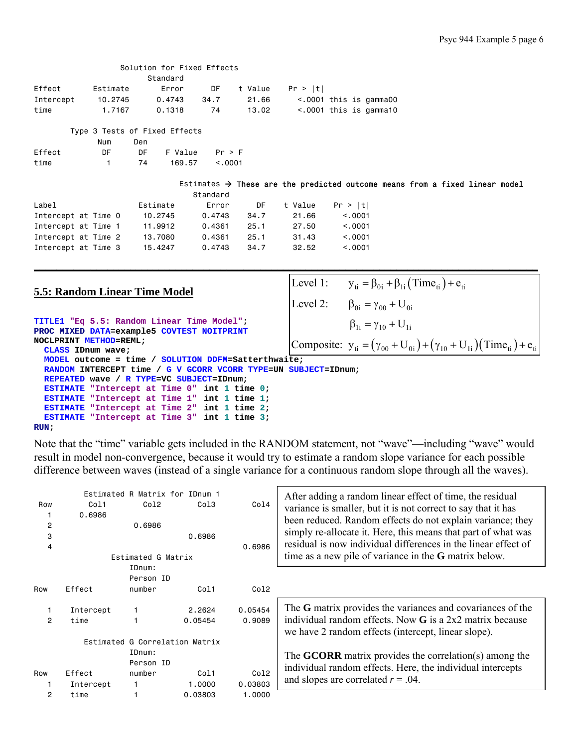| Estimates $\rightarrow$ These are the predicted outcome means from a fixed linear model |
|-----------------------------------------------------------------------------------------|
|                                                                                         |
|                                                                                         |
|                                                                                         |
|                                                                                         |
|                                                                                         |
|                                                                                         |
|                                                                                         |

**\_\_\_\_\_\_\_\_\_\_\_\_\_\_\_\_\_\_\_\_\_\_\_\_\_\_\_\_\_\_\_\_\_\_\_\_\_\_\_\_\_\_\_\_\_\_\_\_\_\_\_\_\_\_\_\_\_\_\_\_\_\_\_\_\_\_\_\_\_\_\_\_\_\_\_\_\_\_\_\_\_\_\_\_\_\_\_\_\_**

Level 1:  $y_{ti} = \beta_{0i} + \beta_{1i} (\text{Time}_{ti}) + e_{ti}$ 

Level 2:  $\beta_{0i} = \gamma_{00} + U_{0i}$ 

### **5.5: Random Linear Time Model**

```
TITLE1 "Eq 5.5: Random Linear Time Model"; 
PROC MIXED DATA=example5 COVTEST NOITPRINT
NOCLPRINT METHOD=REML; 
   CLASS IDnum wave; 
   MODEL outcome = time / SOLUTION DDFM=Satterthwaite; 
   RANDOM INTERCEPT time / G V GCORR VCORR TYPE=UN SUBJECT=IDnum; 
   REPEATED wave / R TYPE=VC SUBJECT=IDnum; 
   ESTIMATE "Intercept at Time 0" int 1 time 0; 
   ESTIMATE "Intercept at Time 1" int 1 time 1; 
   ESTIMATE "Intercept at Time 2" int 1 time 2; 
   ESTIMATE "Intercept at Time 3" int 1 time 3; 
RUN; 
                                                         Composite: y_{ti} = (\gamma_{00} + U_{0i}) + (\gamma_{10} + U_{1i}) (Time_{ti}) + e_{ti}\beta_{1i} = \gamma_{10} + U_{1i}
```
Note that the "time" variable gets included in the RANDOM statement, not "wave"—including "wave" would result in model non-convergence, because it would try to estimate a random slope variance for each possible difference between waves (instead of a single variance for a continuous random slope through all the waves).

| Row<br>$\mathbf{2}$<br>3<br>4 | Col1<br>0.6986    | Estimated R Matrix for IDnum 1<br>Co12<br>0.6986<br>Estimated G Matrix | Co13<br>0.6986    | Co14<br>0.6986    | After adding a random linear effect of time, the residual<br>variance is smaller, but it is not correct to say that it has<br>been reduced. Random effects do not explain variance; they<br>simply re-allocate it. Here, this means that part of what was<br>residual is now individual differences in the linear effect of<br>time as a new pile of variance in the G matrix below. |
|-------------------------------|-------------------|------------------------------------------------------------------------|-------------------|-------------------|--------------------------------------------------------------------------------------------------------------------------------------------------------------------------------------------------------------------------------------------------------------------------------------------------------------------------------------------------------------------------------------|
|                               |                   | IDnum:                                                                 |                   |                   |                                                                                                                                                                                                                                                                                                                                                                                      |
|                               |                   | Person ID                                                              |                   |                   |                                                                                                                                                                                                                                                                                                                                                                                      |
| Row                           | Effect            | number                                                                 | Co11              | Col2              |                                                                                                                                                                                                                                                                                                                                                                                      |
| 2                             | Intercept<br>time |                                                                        | 2.2624<br>0.05454 | 0.05454<br>0.9089 | The G matrix provides the variances and covariances of the<br>individual random effects. Now $G$ is a 2x2 matrix because<br>we have 2 random effects (intercept, linear slope).                                                                                                                                                                                                      |
|                               |                   | Estimated G Correlation Matrix                                         |                   |                   |                                                                                                                                                                                                                                                                                                                                                                                      |
|                               |                   | IDnum:<br>Person ID                                                    |                   |                   | The <b>GCORR</b> matrix provides the correlation(s) among the<br>individual random effects. Here, the individual intercepts                                                                                                                                                                                                                                                          |
| Row                           | Effect            | number                                                                 | Co11              | Co12              | and slopes are correlated $r = .04$ .                                                                                                                                                                                                                                                                                                                                                |
|                               | Intercept         |                                                                        | 1,0000            | 0.03803           |                                                                                                                                                                                                                                                                                                                                                                                      |
| 2                             | time              |                                                                        | 0.03803           | 1,0000            |                                                                                                                                                                                                                                                                                                                                                                                      |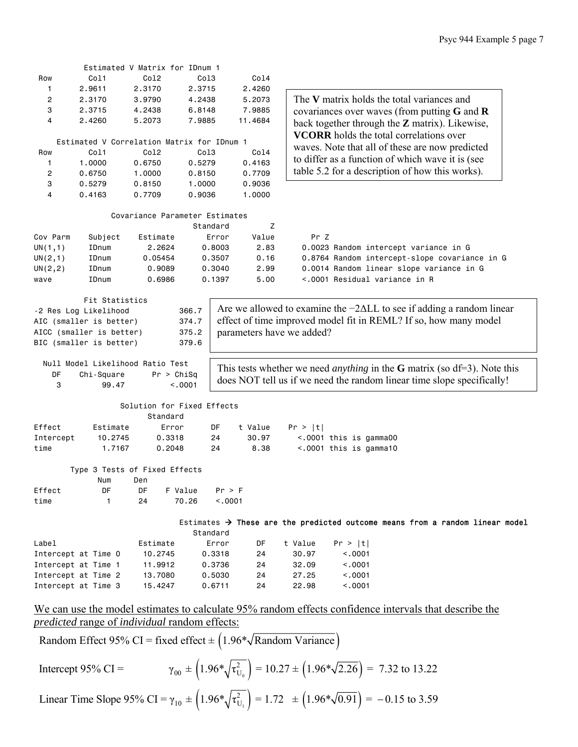|                |                                               | Estimated V Matrix for IDnum 1             |                  |            |                                                                                                       |
|----------------|-----------------------------------------------|--------------------------------------------|------------------|------------|-------------------------------------------------------------------------------------------------------|
| Row            | Col1                                          | Co12                                       | Col3             | Col4       |                                                                                                       |
| 1              | 2.9611                                        | 2.3170                                     | 2.3715           | 2.4260     |                                                                                                       |
| 2              | 2.3170                                        | 3.9790                                     | 4.2438           | 5.2073     | The V matrix holds the total variances and                                                            |
| 3              | 2.3715                                        | 4.2438                                     | 6.8148           | 7.9885     | covariances over waves (from putting $G$ and $R$                                                      |
| 4              | 2.4260                                        | 5.2073                                     | 7.9885           | 11,4684    | back together through the $Z$ matrix). Likewise,                                                      |
|                |                                               |                                            |                  |            |                                                                                                       |
|                |                                               | Estimated V Correlation Matrix for IDnum 1 |                  |            | <b>VCORR</b> holds the total correlations over                                                        |
| Row            | Col1                                          | Co12                                       | Col3             | Col4       | waves. Note that all of these are now predicted                                                       |
| 1              | 1.0000                                        | 0.6750                                     | 0.5279           | 0.4163     | to differ as a function of which wave it is (see                                                      |
| $\overline{2}$ | 0.6750                                        | 1.0000                                     | 0.8150           | 0.7709     | table 5.2 for a description of how this works).                                                       |
| 3              | 0.5279                                        | 0.8150                                     | 1.0000           | 0.9036     |                                                                                                       |
| 4              | 0.4163                                        | 0.7709                                     | 0.9036           | 1.0000     |                                                                                                       |
|                |                                               |                                            |                  |            |                                                                                                       |
|                |                                               | Covariance Parameter Estimates             |                  |            |                                                                                                       |
|                |                                               |                                            |                  |            |                                                                                                       |
|                |                                               |                                            | Standard         | Z<br>Value |                                                                                                       |
| Cov Parm       | Subject                                       | Estimate                                   | Error            |            | Pr Z                                                                                                  |
| UN(1,1)        | IDnum                                         | 2.2624                                     | 0.8003           | 2.83       | 0.0023 Random intercept variance in G                                                                 |
| UN(2,1)        | IDnum                                         | 0.05454                                    | 0.3507           | 0.16       | 0.8764 Random intercept-slope covariance in G                                                         |
| UN(2, 2)       | IDnum                                         | 0.9089                                     | 0.3040           | 2.99       | 0.0014 Random linear slope variance in G                                                              |
| wave           | IDnum                                         | 0.6986                                     | 0.1397           | 5.00       | <.0001 Residual variance in R                                                                         |
|                |                                               |                                            |                  |            |                                                                                                       |
|                | Fit Statistics                                |                                            |                  |            | Are we allowed to examine the $-2\Delta LL$ to see if adding a random linear                          |
|                | -2 Res Log Likelihood                         |                                            | 366.7            |            |                                                                                                       |
|                | AIC (smaller is better)                       |                                            | 374.7            |            | effect of time improved model fit in REML? If so, how many model                                      |
|                | AICC (smaller is better)                      |                                            | 375.2            |            | parameters have we added?                                                                             |
|                | BIC (smaller is better)                       |                                            | 379.6            |            |                                                                                                       |
|                |                                               |                                            |                  |            |                                                                                                       |
|                |                                               | Null Model Likelihood Ratio Test           |                  |            | This tests whether we need <i>anything</i> in the <b>G</b> matrix (so $df=3$ ). Note this             |
| DF             | Chi-Square                                    | Pr > Chisq                                 |                  |            | does NOT tell us if we need the random linear time slope specifically!                                |
| 3              | 99.47                                         |                                            | < .0001          |            |                                                                                                       |
|                |                                               |                                            |                  |            |                                                                                                       |
|                |                                               | Solution for Fixed Effects                 |                  |            |                                                                                                       |
|                |                                               | Standard                                   |                  |            |                                                                                                       |
| Effect         | Estimate                                      | Error                                      | DF               | t Value    | Pr >  t                                                                                               |
| Intercept      | 10.2745                                       | 0.3318                                     | 24               | 30.97      | $< .0001$ this is gamma00                                                                             |
| time           | 1.7167                                        | 0.2048                                     | 24               | 8.38       | <.0001 this is gamma10                                                                                |
|                |                                               |                                            |                  |            |                                                                                                       |
|                |                                               | Type 3 Tests of Fixed Effects              |                  |            |                                                                                                       |
|                | Num                                           | Den                                        |                  |            |                                                                                                       |
| Effect         | DF                                            | F Value<br>DF                              | Pr > F           |            |                                                                                                       |
| time           | 1                                             | 24                                         | 70.26<br>< .0001 |            |                                                                                                       |
|                |                                               |                                            |                  |            |                                                                                                       |
|                |                                               |                                            |                  |            | Estimates $\rightarrow$ These are the predicted outcome means from a random linear model              |
|                |                                               |                                            | Standard         |            |                                                                                                       |
| Label          |                                               |                                            |                  |            |                                                                                                       |
|                |                                               | Estimate                                   | Error            | DF         | t Value<br>Pr >  t                                                                                    |
|                | Intercept at Time 0                           | 10.2745                                    | 0.3318           | 24         | 30.97<br>< .0001                                                                                      |
|                | Intercept at Time 1                           | 11.9912                                    | 0.3736           | 24         | 32.09<br>< .0001                                                                                      |
|                | Intercept at Time 2                           | 13.7080                                    | 0.5030           | 24         | 27.25<br>< .0001                                                                                      |
|                | Intercept at Time 3                           | 15.4247                                    | 0.6711           | 24         | 22.98<br>< 0.0001                                                                                     |
|                |                                               |                                            |                  |            |                                                                                                       |
|                |                                               |                                            |                  |            | We can use the model estimates to calculate 95% random effects confidence intervals that describe the |
|                |                                               |                                            |                  |            |                                                                                                       |
|                | predicted range of individual random effects: |                                            |                  |            |                                                                                                       |

Random Effect 95% CI = fixed effect  $\pm$  (1.96\* $\sqrt{\text{Random Variance}}$ )

Intercept 95% CI =

\n
$$
\gamma_{00} \pm \left( 1.96 \sqrt[4]{\tau_{U_0}^2} \right) = 10.27 \pm \left( 1.96 \sqrt[4]{2.26} \right) = 7.32 \text{ to } 13.22
$$
\nLinear Time Slope 95% CI =

\n
$$
\gamma_{10} \pm \left( 1.96 \sqrt[4]{\tau_{U_1}^2} \right) = 1.72 \pm \left( 1.96 \sqrt[4]{0.91} \right) = -0.15 \text{ to } 3.59
$$